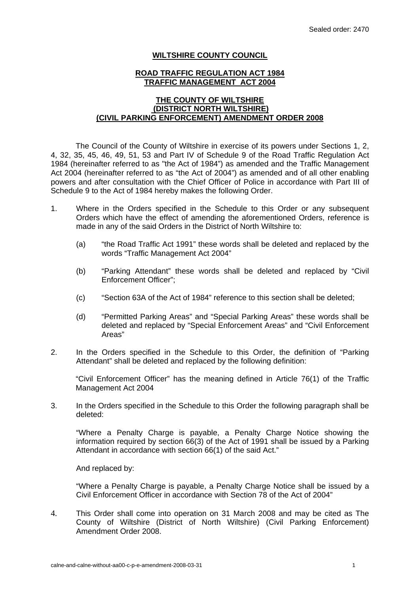## **WILTSHIRE COUNTY COUNCIL**

## **ROAD TRAFFIC REGULATION ACT 1984 TRAFFIC MANAGEMENT ACT 2004**

## **THE COUNTY OF WILTSHIRE (DISTRICT NORTH WILTSHIRE) (CIVIL PARKING ENFORCEMENT) AMENDMENT ORDER 2008**

 The Council of the County of Wiltshire in exercise of its powers under Sections 1, 2, 4, 32, 35, 45, 46, 49, 51, 53 and Part IV of Schedule 9 of the Road Traffic Regulation Act 1984 (hereinafter referred to as "the Act of 1984") as amended and the Traffic Management Act 2004 (hereinafter referred to as "the Act of 2004") as amended and of all other enabling powers and after consultation with the Chief Officer of Police in accordance with Part III of Schedule 9 to the Act of 1984 hereby makes the following Order.

- 1. Where in the Orders specified in the Schedule to this Order or any subsequent Orders which have the effect of amending the aforementioned Orders, reference is made in any of the said Orders in the District of North Wiltshire to:
	- (a) "the Road Traffic Act 1991" these words shall be deleted and replaced by the words "Traffic Management Act 2004"
	- (b) "Parking Attendant" these words shall be deleted and replaced by "Civil Enforcement Officer";
	- (c) "Section 63A of the Act of 1984" reference to this section shall be deleted;
	- (d) "Permitted Parking Areas" and "Special Parking Areas" these words shall be deleted and replaced by "Special Enforcement Areas" and "Civil Enforcement Areas"
- 2. In the Orders specified in the Schedule to this Order, the definition of "Parking Attendant" shall be deleted and replaced by the following definition:

"Civil Enforcement Officer" has the meaning defined in Article 76(1) of the Traffic Management Act 2004

3. In the Orders specified in the Schedule to this Order the following paragraph shall be deleted:

"Where a Penalty Charge is payable, a Penalty Charge Notice showing the information required by section 66(3) of the Act of 1991 shall be issued by a Parking Attendant in accordance with section 66(1) of the said Act."

And replaced by:

"Where a Penalty Charge is payable, a Penalty Charge Notice shall be issued by a Civil Enforcement Officer in accordance with Section 78 of the Act of 2004"

4. This Order shall come into operation on 31 March 2008 and may be cited as The County of Wiltshire (District of North Wiltshire) (Civil Parking Enforcement) Amendment Order 2008.